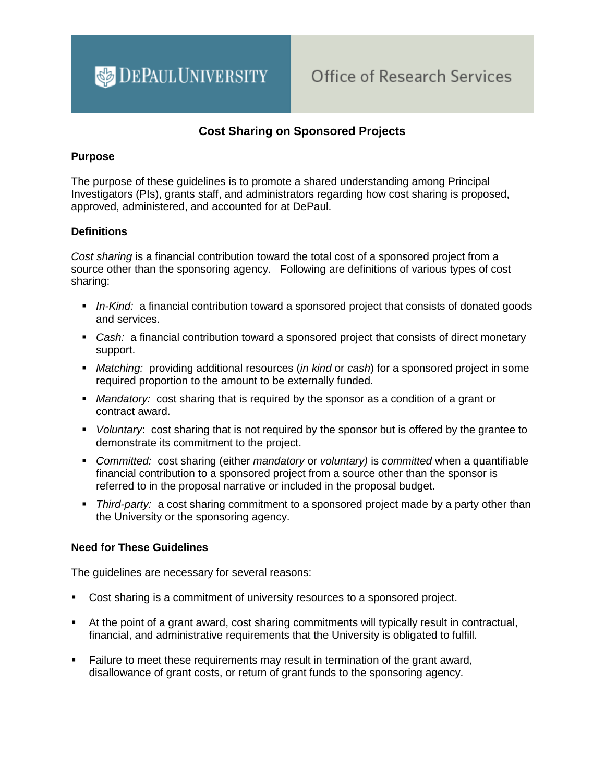

# **Cost Sharing on Sponsored Projects**

#### **Purpose**

The purpose of these guidelines is to promote a shared understanding among Principal Investigators (PIs), grants staff, and administrators regarding how cost sharing is proposed, approved, administered, and accounted for at DePaul.

#### **Definitions**

*Cost sharing* is a financial contribution toward the total cost of a sponsored project from a source other than the sponsoring agency. Following are definitions of various types of cost sharing:

- *In-Kind:* a financial contribution toward a sponsored project that consists of donated goods and services.
- *Cash:* a financial contribution toward a sponsored project that consists of direct monetary support.
- *Matching:* providing additional resources (*in kind* or *cash*) for a sponsored project in some required proportion to the amount to be externally funded.
- *Mandatory:* cost sharing that is required by the sponsor as a condition of a grant or contract award.
- *Voluntary*: cost sharing that is not required by the sponsor but is offered by the grantee to demonstrate its commitment to the project.
- *Committed:* cost sharing (either *mandatory* or *voluntary)* is *committed* when a quantifiable financial contribution to a sponsored project from a source other than the sponsor is referred to in the proposal narrative or included in the proposal budget.
- *Third-party:* a cost sharing commitment to a sponsored project made by a party other than the University or the sponsoring agency.

#### **Need for These Guidelines**

The guidelines are necessary for several reasons:

- Cost sharing is a commitment of university resources to a sponsored project.
- At the point of a grant award, cost sharing commitments will typically result in contractual, financial, and administrative requirements that the University is obligated to fulfill.
- Failure to meet these requirements may result in termination of the grant award, disallowance of grant costs, or return of grant funds to the sponsoring agency.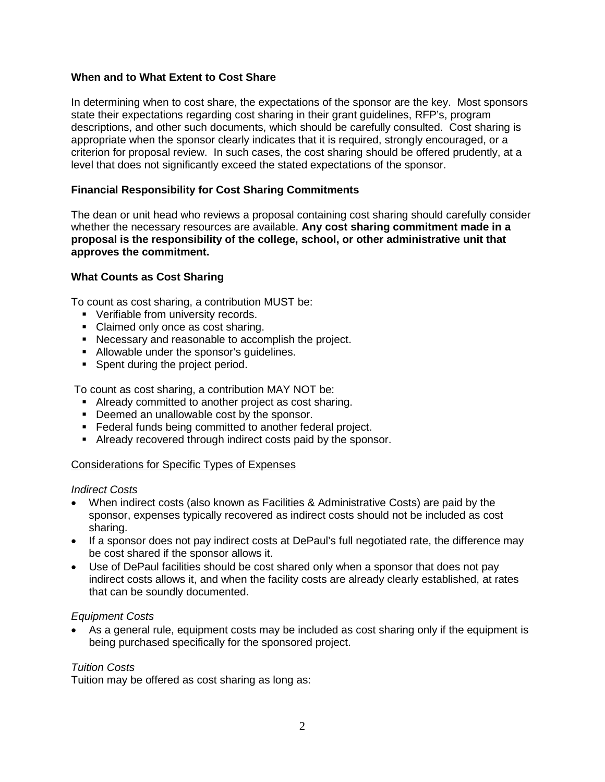### **When and to What Extent to Cost Share**

In determining when to cost share, the expectations of the sponsor are the key. Most sponsors state their expectations regarding cost sharing in their grant guidelines, RFP's, program descriptions, and other such documents, which should be carefully consulted. Cost sharing is appropriate when the sponsor clearly indicates that it is required, strongly encouraged, or a criterion for proposal review. In such cases, the cost sharing should be offered prudently, at a level that does not significantly exceed the stated expectations of the sponsor.

# **Financial Responsibility for Cost Sharing Commitments**

The dean or unit head who reviews a proposal containing cost sharing should carefully consider whether the necessary resources are available. **Any cost sharing commitment made in a proposal is the responsibility of the college, school, or other administrative unit that approves the commitment.** 

### **What Counts as Cost Sharing**

To count as cost sharing, a contribution MUST be:

- **•** Verifiable from university records.
- Claimed only once as cost sharing.
- Necessary and reasonable to accomplish the project.
- Allowable under the sponsor's guidelines.
- Spent during the project period.

To count as cost sharing, a contribution MAY NOT be:

- Already committed to another project as cost sharing.
- **•** Deemed an unallowable cost by the sponsor.
- **Federal funds being committed to another federal project.**
- Already recovered through indirect costs paid by the sponsor.

### Considerations for Specific Types of Expenses

*Indirect Costs* 

- When indirect costs (also known as Facilities & Administrative Costs) are paid by the sponsor, expenses typically recovered as indirect costs should not be included as cost sharing.
- If a sponsor does not pay indirect costs at DePaul's full negotiated rate, the difference may be cost shared if the sponsor allows it.
- Use of DePaul facilities should be cost shared only when a sponsor that does not pay indirect costs allows it, and when the facility costs are already clearly established, at rates that can be soundly documented.

#### *Equipment Costs*

• As a general rule, equipment costs may be included as cost sharing only if the equipment is being purchased specifically for the sponsored project.

### *Tuition Costs*

Tuition may be offered as cost sharing as long as: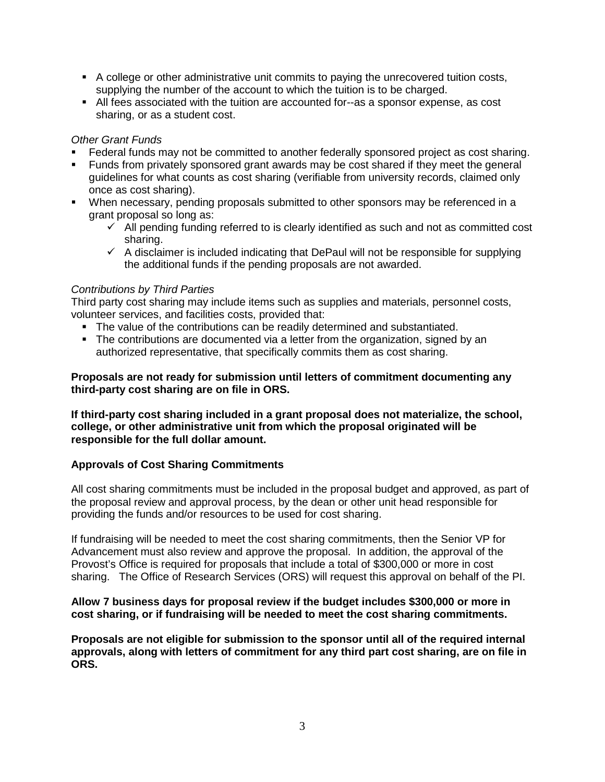- A college or other administrative unit commits to paying the unrecovered tuition costs, supplying the number of the account to which the tuition is to be charged.
- All fees associated with the tuition are accounted for--as a sponsor expense, as cost sharing, or as a student cost.

### *Other Grant Funds*

- Federal funds may not be committed to another federally sponsored project as cost sharing.
- Funds from privately sponsored grant awards may be cost shared if they meet the general guidelines for what counts as cost sharing (verifiable from university records, claimed only once as cost sharing).
- When necessary, pending proposals submitted to other sponsors may be referenced in a grant proposal so long as:
	- $\checkmark$  All pending funding referred to is clearly identified as such and not as committed cost sharing.
	- $\checkmark$  A disclaimer is included indicating that DePaul will not be responsible for supplying the additional funds if the pending proposals are not awarded.

# *Contributions by Third Parties*

Third party cost sharing may include items such as supplies and materials, personnel costs, volunteer services, and facilities costs, provided that:

- The value of the contributions can be readily determined and substantiated.
- The contributions are documented via a letter from the organization, signed by an authorized representative, that specifically commits them as cost sharing.

### **Proposals are not ready for submission until letters of commitment documenting any third-party cost sharing are on file in ORS.**

**If third-party cost sharing included in a grant proposal does not materialize, the school, college, or other administrative unit from which the proposal originated will be responsible for the full dollar amount.**

### **Approvals of Cost Sharing Commitments**

All cost sharing commitments must be included in the proposal budget and approved, as part of the proposal review and approval process, by the dean or other unit head responsible for providing the funds and/or resources to be used for cost sharing.

If fundraising will be needed to meet the cost sharing commitments, then the Senior VP for Advancement must also review and approve the proposal. In addition, the approval of the Provost's Office is required for proposals that include a total of \$300,000 or more in cost sharing. The Office of Research Services (ORS) will request this approval on behalf of the PI.

### **Allow 7 business days for proposal review if the budget includes \$300,000 or more in cost sharing, or if fundraising will be needed to meet the cost sharing commitments.**

**Proposals are not eligible for submission to the sponsor until all of the required internal approvals, along with letters of commitment for any third part cost sharing, are on file in ORS.**